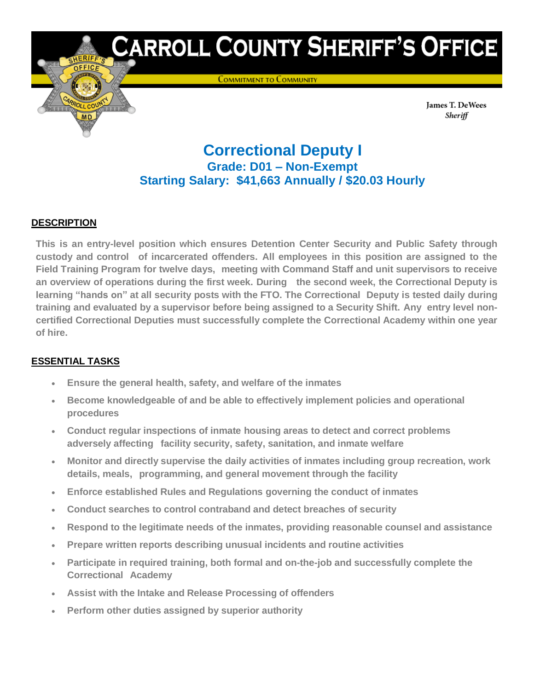# CARROLL COUNTY SHERIFF'S OFFICE

**COMMITMENT TO COMMUNITY** 

James T. DeWees Sheriff

# **Correctional Deputy I Grade: D01 – Non-Exempt Starting Salary: \$41,663 Annually / \$20.03 Hourly**

## **DESCRIPTION**

**This is an entry-level position which ensures Detention Center Security and Public Safety through custody and control of incarcerated offenders. All employees in this position are assigned to the Field Training Program for twelve days, meeting with Command Staff and unit supervisors to receive an overview of operations during the first week. During the second week, the Correctional Deputy is learning "hands on" at all security posts with the FTO. The Correctional Deputy is tested daily during training and evaluated by a supervisor before being assigned to a Security Shift. Any entry level noncertified Correctional Deputies must successfully complete the Correctional Academy within one year of hire.**

# **ESSENTIAL TASKS**

- **Ensure the general health, safety, and welfare of the inmates**
- **Become knowledgeable of and be able to effectively implement policies and operational procedures**
- **Conduct regular inspections of inmate housing areas to detect and correct problems adversely affecting facility security, safety, sanitation, and inmate welfare**
- **Monitor and directly supervise the daily activities of inmates including group recreation, work details, meals, programming, and general movement through the facility**
- **Enforce established Rules and Regulations governing the conduct of inmates**
- **Conduct searches to control contraband and detect breaches of security**
- **Respond to the legitimate needs of the inmates, providing reasonable counsel and assistance**
- **Prepare written reports describing unusual incidents and routine activities**
- **Participate in required training, both formal and on-the-job and successfully complete the Correctional Academy**
- **Assist with the Intake and Release Processing of offenders**
- **Perform other duties assigned by superior authority**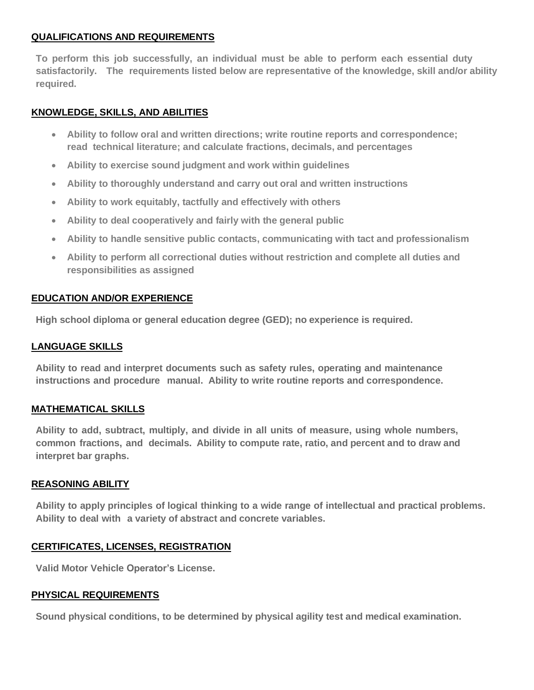#### **QUALIFICATIONS AND REQUIREMENTS**

**To perform this job successfully, an individual must be able to perform each essential duty satisfactorily. The requirements listed below are representative of the knowledge, skill and/or ability required.**

#### **KNOWLEDGE, SKILLS, AND ABILITIES**

- **Ability to follow oral and written directions; write routine reports and correspondence; read technical literature; and calculate fractions, decimals, and percentages**
- **Ability to exercise sound judgment and work within guidelines**
- **Ability to thoroughly understand and carry out oral and written instructions**
- **Ability to work equitably, tactfully and effectively with others**
- **Ability to deal cooperatively and fairly with the general public**
- **Ability to handle sensitive public contacts, communicating with tact and professionalism**
- **Ability to perform all correctional duties without restriction and complete all duties and responsibilities as assigned**

#### **EDUCATION AND/OR EXPERIENCE**

**High school diploma or general education degree (GED); no experience is required.**

#### **LANGUAGE SKILLS**

**Ability to read and interpret documents such as safety rules, operating and maintenance instructions and procedure manual. Ability to write routine reports and correspondence.**

#### **MATHEMATICAL SKILLS**

**Ability to add, subtract, multiply, and divide in all units of measure, using whole numbers, common fractions, and decimals. Ability to compute rate, ratio, and percent and to draw and interpret bar graphs.**

#### **REASONING ABILITY**

**Ability to apply principles of logical thinking to a wide range of intellectual and practical problems. Ability to deal with a variety of abstract and concrete variables.**

#### **CERTIFICATES, LICENSES, REGISTRATION**

**Valid Motor Vehicle Operator's License.**

#### **PHYSICAL REQUIREMENTS**

**Sound physical conditions, to be determined by physical agility test and medical examination.**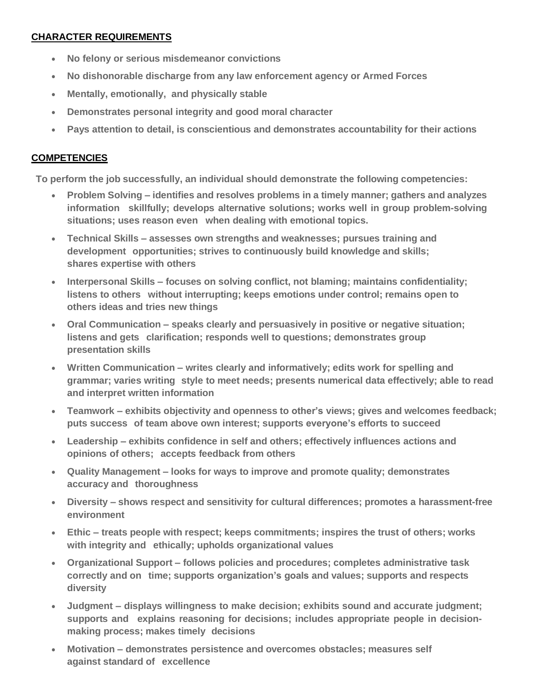### **CHARACTER REQUIREMENTS**

- **No felony or serious misdemeanor convictions**
- **No dishonorable discharge from any law enforcement agency or Armed Forces**
- **Mentally, emotionally, and physically stable**
- **Demonstrates personal integrity and good moral character**
- **Pays attention to detail, is conscientious and demonstrates accountability for their actions**

#### **COMPETENCIES**

**To perform the job successfully, an individual should demonstrate the following competencies:**

- **Problem Solving – identifies and resolves problems in a timely manner; gathers and analyzes information skillfully; develops alternative solutions; works well in group problem-solving situations; uses reason even when dealing with emotional topics.**
- **Technical Skills – assesses own strengths and weaknesses; pursues training and development opportunities; strives to continuously build knowledge and skills; shares expertise with others**
- **Interpersonal Skills – focuses on solving conflict, not blaming; maintains confidentiality; listens to others without interrupting; keeps emotions under control; remains open to others ideas and tries new things**
- **Oral Communication – speaks clearly and persuasively in positive or negative situation; listens and gets clarification; responds well to questions; demonstrates group presentation skills**
- **Written Communication – writes clearly and informatively; edits work for spelling and grammar; varies writing style to meet needs; presents numerical data effectively; able to read and interpret written information**
- **Teamwork – exhibits objectivity and openness to other's views; gives and welcomes feedback; puts success of team above own interest; supports everyone's efforts to succeed**
- **Leadership – exhibits confidence in self and others; effectively influences actions and opinions of others; accepts feedback from others**
- **Quality Management – looks for ways to improve and promote quality; demonstrates accuracy and thoroughness**
- **Diversity – shows respect and sensitivity for cultural differences; promotes a harassment-free environment**
- **Ethic – treats people with respect; keeps commitments; inspires the trust of others; works with integrity and ethically; upholds organizational values**
- **Organizational Support – follows policies and procedures; completes administrative task correctly and on time; supports organization's goals and values; supports and respects diversity**
- **Judgment – displays willingness to make decision; exhibits sound and accurate judgment; supports and explains reasoning for decisions; includes appropriate people in decisionmaking process; makes timely decisions**
- **Motivation – demonstrates persistence and overcomes obstacles; measures self against standard of excellence**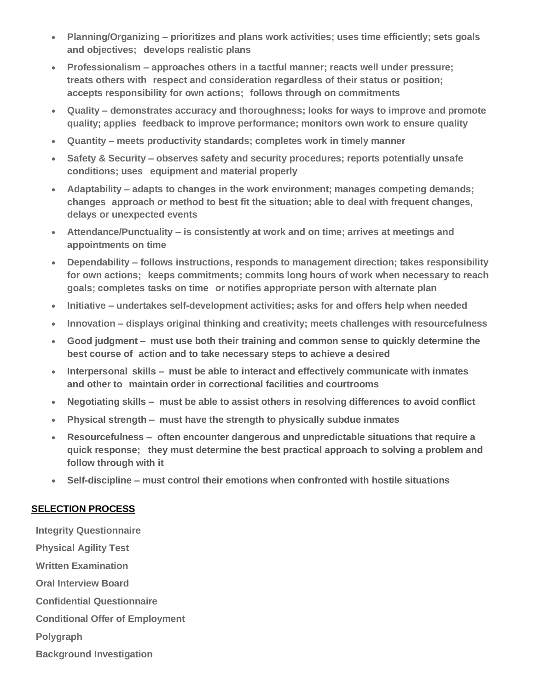- **Planning/Organizing – prioritizes and plans work activities; uses time efficiently; sets goals and objectives; develops realistic plans**
- **Professionalism – approaches others in a tactful manner; reacts well under pressure; treats others with respect and consideration regardless of their status or position; accepts responsibility for own actions; follows through on commitments**
- **Quality – demonstrates accuracy and thoroughness; looks for ways to improve and promote quality; applies feedback to improve performance; monitors own work to ensure quality**
- **Quantity – meets productivity standards; completes work in timely manner**
- **Safety & Security – observes safety and security procedures; reports potentially unsafe conditions; uses equipment and material properly**
- **Adaptability – adapts to changes in the work environment; manages competing demands; changes approach or method to best fit the situation; able to deal with frequent changes, delays or unexpected events**
- **Attendance/Punctuality – is consistently at work and on time; arrives at meetings and appointments on time**
- **Dependability – follows instructions, responds to management direction; takes responsibility for own actions; keeps commitments; commits long hours of work when necessary to reach goals; completes tasks on time or notifies appropriate person with alternate plan**
- **Initiative – undertakes self-development activities; asks for and offers help when needed**
- **Innovation – displays original thinking and creativity; meets challenges with resourcefulness**
- **Good judgment – must use both their training and common sense to quickly determine the best course of action and to take necessary steps to achieve a desired**
- **Interpersonal skills – must be able to interact and effectively communicate with inmates and other to maintain order in correctional facilities and courtrooms**
- **Negotiating skills – must be able to assist others in resolving differences to avoid conflict**
- **Physical strength – must have the strength to physically subdue inmates**
- **Resourcefulness – often encounter dangerous and unpredictable situations that require a quick response; they must determine the best practical approach to solving a problem and follow through with it**
- **Self-discipline – must control their emotions when confronted with hostile situations**

#### **SELECTION PROCESS**

**Integrity Questionnaire Physical Agility Test Written Examination Oral Interview Board Confidential Questionnaire Conditional Offer of Employment Polygraph Background Investigation**